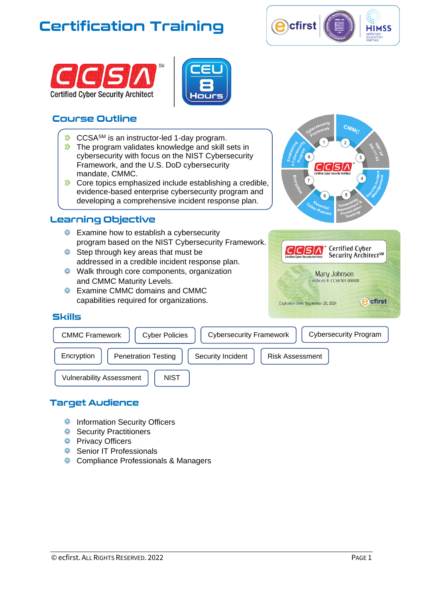# **Certification Training**







## **Course Outline**

- $\Diamond$  CCSA<sup>SM</sup> is an instructor-led 1-day program.
- $\Diamond$  The program validates knowledge and skill sets in cybersecurity with focus on the NIST Cybersecurity Framework, and the U.S. DoD cybersecurity mandate, CMMC.
- $\Diamond$  Core topics emphasized include establishing a credible, evidence-based enterprise cybersecurity program and developing a comprehensive incident response plan.

### Learning Objective

- **Examine how to establish a cybersecurity** program based on the NIST Cybersecurity Framework.
- **O** Step through key areas that must be addressed in a credible incident response plan.
- **O** Walk through core components, organization and CMMC Maturity Levels.
- Examine CMMC domains and CMMC capabilities required for organizations.



| CCSA<br><b>Certified Cyber Security Architect</b> | Certified Cyber<br>Security Architect <sup>sM</sup> |
|---------------------------------------------------|-----------------------------------------------------|
|                                                   | Mary Johnson<br>Certificate #: CCSA 501-000000      |
| Expiration Date: September 20, 2024               | cfirst                                              |

### **Skills**

| <b>CMMC Framework</b>           | <b>Cybersecurity Program</b><br><b>Cybersecurity Framework</b><br><b>Cyber Policies</b> |
|---------------------------------|-----------------------------------------------------------------------------------------|
| Encryption                      | <b>Penetration Testing</b><br>Security Incident<br><b>Risk Assessment</b>               |
| <b>Vulnerability Assessment</b> | <b>NIST</b>                                                                             |

### **Target Audience**

- **O** Information Security Officers
- **O** Security Practitioners
- **O** Privacy Officers
- **O** Senior IT Professionals
- **O** Compliance Professionals & Managers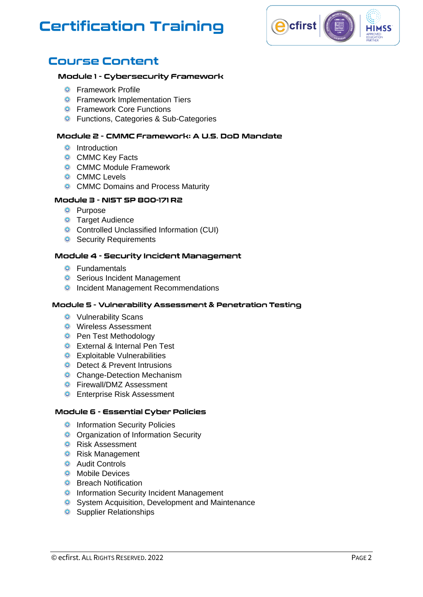# **Certification Training**



## **Course Content**

#### Module 1 - Cybersecurity Framework

- **O** Framework Profile
- **O** Framework Implementation Tiers
- **O** Framework Core Functions
- **O** Functions, Categories & Sub-Categories

#### Module 2 - CMMC Framework: A U.S. DoD Mandate

- **O** Introduction
- **O** CMMC Key Facts
- **O** CMMC Module Framework
- **O** CMMC Levels
- **O** CMMC Domains and Process Maturity

#### Module 3 - NIST SP 800-171 R2

- **O** Purpose
- **O** Target Audience
- **O** Controlled Unclassified Information (CUI)
- **O** Security Requirements

#### Module 4 - Security Incident Management

- **O** Fundamentals
- **O** Serious Incident Management
- **O** Incident Management Recommendations

#### Module 5 - Vulnerability Assessment & Penetration Testing

- **O** Vulnerability Scans
- **O** Wireless Assessment
- **O** Pen Test Methodology
- **O** External & Internal Pen Test
- **O** Exploitable Vulnerabilities
- **O** Detect & Prevent Intrusions
- **O** Change-Detection Mechanism
- **O** Firewall/DMZ Assessment
- **O** Enterprise Risk Assessment

#### Module 6 - Essential Cyber Policies

- **O** Information Security Policies
- **O** Organization of Information Security
- **O** Risk Assessment
- **O** Risk Management
- **O** Audit Controls
- **O** Mobile Devices
- **O** Breach Notification
- **O** Information Security Incident Management
- **O** System Acquisition, Development and Maintenance
- **O** Supplier Relationships